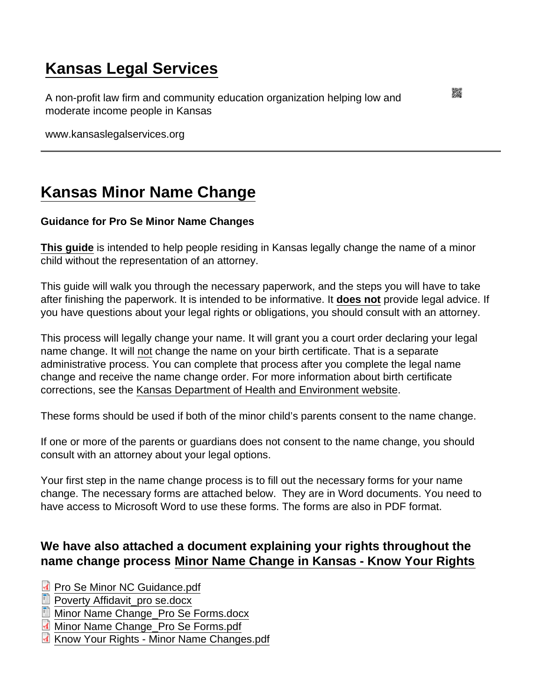## [Kansas Legal Services](https://www.kansaslegalservices.org/)

A non-profit law firm and community education organization helping low and moderate income people in Kansas

www.kansaslegalservices.org

## [Kansas Minor Name Change](https://www.kansaslegalservices.org/node/2444/kansas-minor-name-change)

Guidance for Pro Se Minor Name Changes

[This guide](https://www.kansaslegalservices.org/sites/kansaslegalservices.org/files/Pro Se Minor NC Guidance.pdf) is intended to help people residing in Kansas legally change the name of a minor child without the representation of an attorney.

This guide will walk you through the necessary paperwork, and the steps you will have to take after finishing the paperwork. It is intended to be informative. It does not provide legal advice. If you have questions about your legal rights or obligations, you should consult with an attorney.

This process will legally change your name. It will grant you a court order declaring your legal name change. It will not change the name on your birth certificate. That is a separate administrative process. You can complete that process after you complete the legal name change and receive the name change order. For more information about birth certificate corrections, see the [Kansas Department of Health and Environment website.](https://www.kdheks.gov/vital/amend_birth_adults.html)

These forms should be used if both of the minor child's parents consent to the name change.

If one or more of the parents or guardians does not consent to the name change, you should consult with an attorney about your legal options.

Your first step in the name change process is to fill out the necessary forms for your name change. The necessary forms are attached below. They are in Word documents. You need to have access to Microsoft Word to use these forms. The forms are also in PDF format.

We have also attached a document explaining your rights throughout the name change process [Minor Name Change in Kansas - Know Your Rights](https://www.kansaslegalservices.org/node/2443/kansas-name-change-minors-know-your-rights)

[Pro Se Minor NC Guidance.pdf](https://www.kansaslegalservices.org/sites/kansaslegalservices.org/files/Pro Se Minor NC Guidance.pdf) [Poverty Affidavit\\_pro se.docx](https://www.kansaslegalservices.org/sites/kansaslegalservices.org/files/Poverty Affidavit_pro se.docx) [Minor Name Change\\_Pro Se Forms.docx](https://www.kansaslegalservices.org/sites/kansaslegalservices.org/files/Minor Name Change_Pro Se Forms_0.docx) [Minor Name Change\\_Pro Se Forms.pdf](https://www.kansaslegalservices.org/sites/kansaslegalservices.org/files/Minor Name Change_Pro Se Forms.pdf) [Know Your Rights - Minor Name Changes.pdf](https://www.kansaslegalservices.org/sites/kansaslegalservices.org/files/Know Your Rights - Minor Name Changes.pdf)